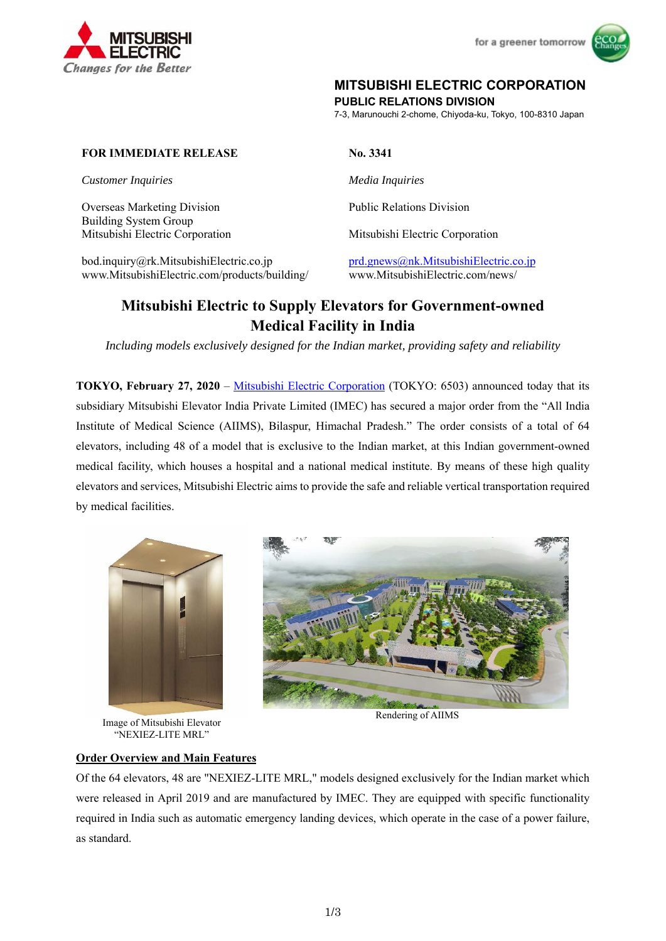



## **MITSUBISHI ELECTRIC CORPORATION**

**PUBLIC RELATIONS DIVISION** 

7-3, Marunouchi 2-chome, Chiyoda-ku, Tokyo, 100-8310 Japan

#### **FOR IMMEDIATE RELEASE No. 3341**

*Customer Inquiries Media Inquiries* 

Overseas Marketing Division Building System Group Mitsubishi Electric Corporation Mitsubishi Electric Corporation

bod.inquiry@rk.MitsubishiElectric.co.jp prd.gnews@nk.MitsubishiElectric.co.jp www.MitsubishiElectric.com/products/building/ www.MitsubishiElectric.com/news/

Public Relations Division

# **Mitsubishi Electric to Supply Elevators for Government-owned Medical Facility in India**

*Including models exclusively designed for the Indian market, providing safety and reliability* 

**TOKYO, February 27, 2020** – Mitsubishi Electric Corporation (TOKYO: 6503) announced today that its subsidiary Mitsubishi Elevator India Private Limited (IMEC) has secured a major order from the "All India Institute of Medical Science (AIIMS), Bilaspur, Himachal Pradesh." The order consists of a total of 64 elevators, including 48 of a model that is exclusive to the Indian market, at this Indian government-owned medical facility, which houses a hospital and a national medical institute. By means of these high quality elevators and services, Mitsubishi Electric aims to provide the safe and reliable vertical transportation required by medical facilities.



Image of Mitsubishi Elevator "NEXIEZ-LITE MRL"



Rendering of AIIMS

### **Order Overview and Main Features**

Of the 64 elevators, 48 are "NEXIEZ-LITE MRL," models designed exclusively for the Indian market which were released in April 2019 and are manufactured by IMEC. They are equipped with specific functionality required in India such as automatic emergency landing devices, which operate in the case of a power failure, as standard.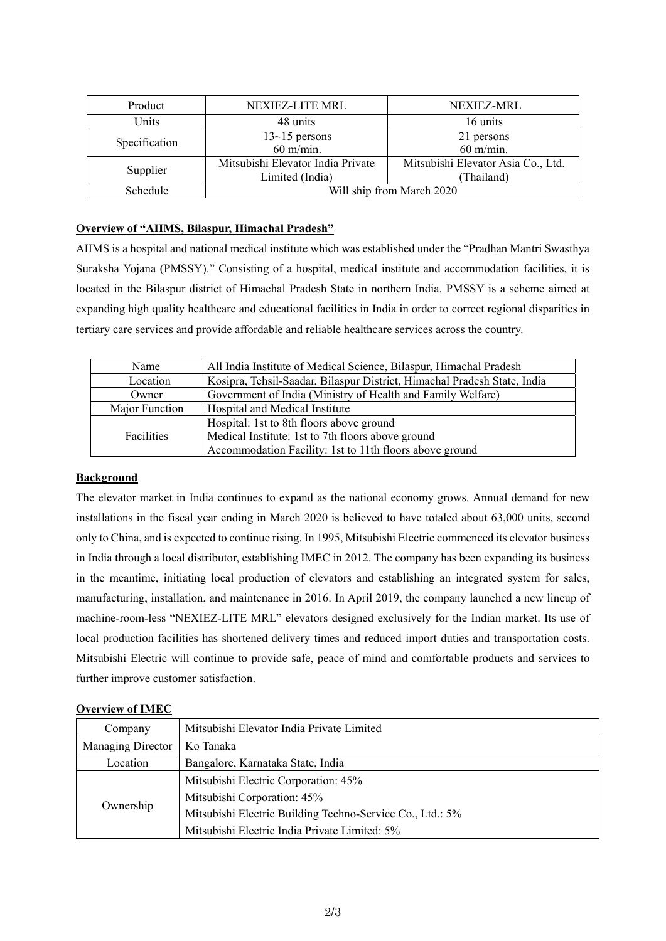| Product       | NEXIEZ-LITE MRL                                      | NEXIEZ-MRL                                       |
|---------------|------------------------------------------------------|--------------------------------------------------|
| Units         | 48 units                                             | 16 units                                         |
| Specification | $13-15$ persons<br>$60$ m/min.                       | 21 persons<br>$60$ m/min.                        |
| Supplier      | Mitsubishi Elevator India Private<br>Limited (India) | Mitsubishi Elevator Asia Co., Ltd.<br>(Thailand) |
| Schedule      | Will ship from March 2020                            |                                                  |

#### **Overview of "AIIMS, Bilaspur, Himachal Pradesh"**

AIIMS is a hospital and national medical institute which was established under the "Pradhan Mantri Swasthya Suraksha Yojana (PMSSY)." Consisting of a hospital, medical institute and accommodation facilities, it is located in the Bilaspur district of Himachal Pradesh State in northern India. PMSSY is a scheme aimed at expanding high quality healthcare and educational facilities in India in order to correct regional disparities in tertiary care services and provide affordable and reliable healthcare services across the country.

| Name           | All India Institute of Medical Science, Bilaspur, Himachal Pradesh       |  |
|----------------|--------------------------------------------------------------------------|--|
| Location       | Kosipra, Tehsil-Saadar, Bilaspur District, Himachal Pradesh State, India |  |
| Owner          | Government of India (Ministry of Health and Family Welfare)              |  |
| Major Function | Hospital and Medical Institute                                           |  |
|                | Hospital: 1st to 8th floors above ground                                 |  |
| Facilities     | Medical Institute: 1st to 7th floors above ground                        |  |
|                | Accommodation Facility: 1st to 11th floors above ground                  |  |

#### **Background**

The elevator market in India continues to expand as the national economy grows. Annual demand for new installations in the fiscal year ending in March 2020 is believed to have totaled about 63,000 units, second only to China, and is expected to continue rising. In 1995, Mitsubishi Electric commenced its elevator business in India through a local distributor, establishing IMEC in 2012. The company has been expanding its business in the meantime, initiating local production of elevators and establishing an integrated system for sales, manufacturing, installation, and maintenance in 2016. In April 2019, the company launched a new lineup of machine-room-less "NEXIEZ-LITE MRL" elevators designed exclusively for the Indian market. Its use of local production facilities has shortened delivery times and reduced import duties and transportation costs. Mitsubishi Electric will continue to provide safe, peace of mind and comfortable products and services to further improve customer satisfaction.

#### **Overview of IMEC**

| Company           | Mitsubishi Elevator India Private Limited                 |
|-------------------|-----------------------------------------------------------|
| Managing Director | Ko Tanaka                                                 |
| Location          | Bangalore, Karnataka State, India                         |
| Ownership         | Mitsubishi Electric Corporation: 45%                      |
|                   | Mitsubishi Corporation: 45%                               |
|                   | Mitsubishi Electric Building Techno-Service Co., Ltd.: 5% |
|                   | Mitsubishi Electric India Private Limited: 5%             |